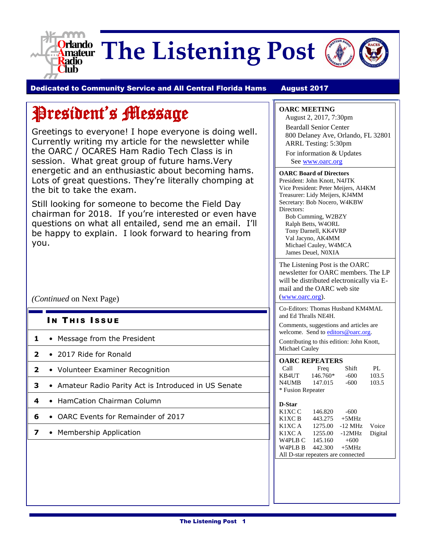

**Orlando** The Listening Post



Dedicated to Community Service and All Central Florida Hams August 2017

# President's Message

Greetings to everyone! I hope everyone is doing well. Currently writing my article for the newsletter while the OARC / OCARES Ham Radio Tech Class is in session. What great group of future hams.Very energetic and an enthusiastic about becoming hams. Lots of great questions. They're literally chomping at the bit to take the exam.

Still looking for someone to become the Field Day chairman for 2018. If you're interested or even have questions on what all entailed, send me an email. I'll be happy to explain. I look forward to hearing from you.

*(Continued* on Next Page)

- IN THIS ISSUE
- **1** Message from the President
- **2** 2017 Ride for Ronald
- **2** Volunteer Examiner Recognition
- **3** Amateur Radio Parity Act is Introduced in US Senate
- **4** HamCation Chairman Column
- **6** OARC Events for Remainder of 2017
- **7** Membership Application

### **OARC MEETING**

August 2, 2017, 7:30pm Beardall Senior Center 800 Delaney Ave, Orlando, FL 32801 ARRL Testing: 5:30pm For information & Updates See [www.oarc.org](http://www.oarc.org/)

#### **OARC Board of Directors**

President: John Knott, N4JTK Vice President: Peter Meijers, AI4KM Treasurer: Lidy Meijers, KJ4MM Secretary: Bob Nocero, W4KBW Directors:

Bob Cumming, W2BZY Ralph Betts, W4ORL Tony Darnell, KK4VRP Val Jacyno, AK4MM Michael Cauley, W4MCA James Deuel, N0XIA

The Listening Post is the OARC newsletter for OARC members. The LP will be distributed electronically via Email and the OARC web site [\(www.oarc.org\)](http://www.oarc.org/).

Co-Editors: Thomas Husband KM4MAL and Ed Thralls NE4H.

Comments, suggestions and articles are welcome. Send to [editors@oarc.org.](mailto:editors@oarc.org)

Contributing to this edition: John Knott, Michael Cauley

| <b>OARC REPEATERS</b> |          |        |       |  |  |
|-----------------------|----------|--------|-------|--|--|
| Call                  | Freq     | Shift  | PI.   |  |  |
| KB4UT                 | 146.760* | $-600$ | 103.5 |  |  |
| N4UMB                 | 147.015  | $-600$ | 103.5 |  |  |
| * Fusion Repeater     |          |        |       |  |  |

#### **D-Star**

| K1XC C                             | 146.820 | $-600$           |  |
|------------------------------------|---------|------------------|--|
| K1XC <sub>B</sub>                  | 443.275 | $+5MHz$          |  |
| K1XC A                             | 1275.00 | -12 MHz Voice    |  |
| K1XC A                             | 1255.00 | -12MHz Digital   |  |
| W4PLB C                            | 145.160 | $+600$           |  |
| W <sub>4</sub> PL <sub>B</sub> B   |         | $442.300 + 5MHz$ |  |
| All D-star repeaters are connected |         |                  |  |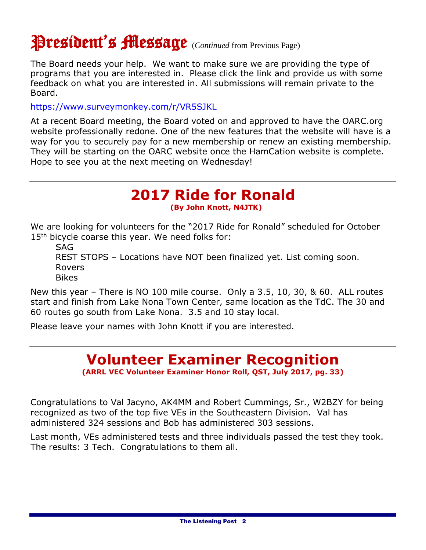# President's Message (*Continued* from Previous Page)

The Board needs your help. We want to make sure we are providing the type of programs that you are interested in. Please click the link and provide us with some feedback on what you are interested in. All submissions will remain private to the Board.

<https://www.surveymonkey.com/r/VR5SJKL>

At a recent Board meeting, the Board voted on and approved to have the OARC.org website professionally redone. One of the new features that the website will have is a way for you to securely pay for a new membership or renew an existing membership. They will be starting on the OARC website once the HamCation website is complete. Hope to see you at the next meeting on Wednesday!

### **2017 Ride for Ronald (By John Knott, N4JTK)**

We are looking for volunteers for the "2017 Ride for Ronald" scheduled for October 15<sup>th</sup> bicycle coarse this year. We need folks for:

SAG

REST STOPS – Locations have NOT been finalized yet. List coming soon. Rovers Bikes

New this year – There is NO 100 mile course. Only a 3.5, 10, 30, & 60. ALL routes start and finish from Lake Nona Town Center, same location as the TdC. The 30 and 60 routes go south from Lake Nona. 3.5 and 10 stay local.

Please leave your names with John Knott if you are interested.

### **Volunteer Examiner Recognition (ARRL VEC Volunteer Examiner Honor Roll, QST, July 2017, pg. 33)**

Congratulations to Val Jacyno, AK4MM and Robert Cummings, Sr., W2BZY for being recognized as two of the top five VEs in the Southeastern Division. Val has administered 324 sessions and Bob has administered 303 sessions.

Last month, VEs administered tests and three individuals passed the test they took. The results: 3 Tech. Congratulations to them all.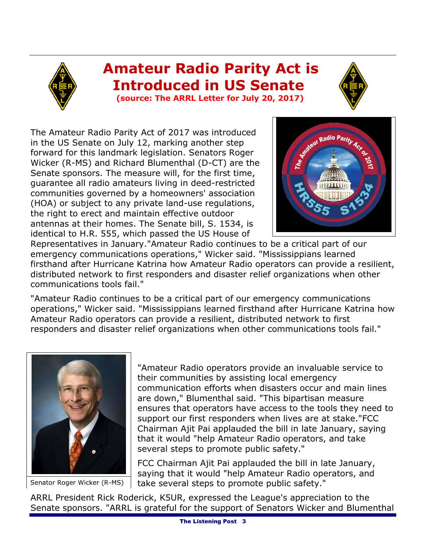### **Amateur Radio Parity Act is Introduced in US Senate (source: The ARRL Letter for July 20, 2017)**



The Amateur Radio Parity Act of 2017 was introduced in the US Senate on July 12, marking another step forward for this landmark legislation. Senators Roger Wicker (R-MS) and Richard Blumenthal (D-CT) are the Senate sponsors. The measure will, for the first time, guarantee all radio amateurs living in deed-restricted communities governed by a homeowners' association (HOA) or subject to any private land-use regulations, the right to erect and maintain effective outdoor antennas at their homes. The Senate bill, S. 1534, is identical to H.R. 555, which passed the US House of



Representatives in January."Amateur Radio continues to be a critical part of our emergency communications operations," Wicker said. "Mississippians learned firsthand after Hurricane Katrina how Amateur Radio operators can provide a resilient, distributed network to first responders and disaster relief organizations when other communications tools fail."

"Amateur Radio continues to be a critical part of our emergency communications operations," Wicker said. "Mississippians learned firsthand after Hurricane Katrina how Amateur Radio operators can provide a resilient, distributed network to first responders and disaster relief organizations when other communications tools fail."



Senator Roger Wicker (R-MS)

"Amateur Radio operators provide an invaluable service to their communities by assisting local emergency communication efforts when disasters occur and main lines are down," Blumenthal said. "This bipartisan measure ensures that operators have access to the tools they need to support our first responders when lives are at stake."FCC Chairman Ajit Pai applauded the bill in late January, saying that it would "help Amateur Radio operators, and take several steps to promote public safety."

FCC Chairman Ajit Pai applauded the bill in late January, saying that it would "help Amateur Radio operators, and take several steps to promote public safety."

ARRL President Rick Roderick, K5UR, expressed the League's appreciation to the Senate sponsors. "ARRL is grateful for the support of Senators Wicker and Blumenthal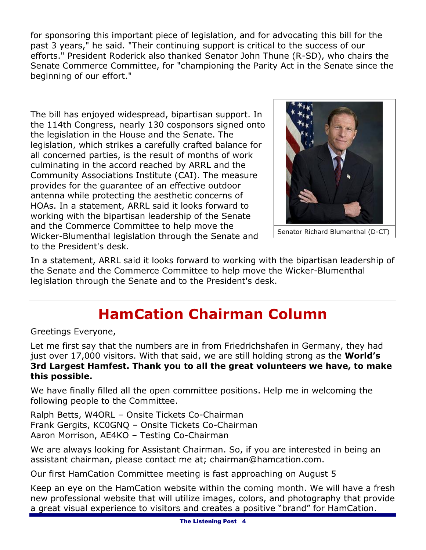for sponsoring this important piece of legislation, and for advocating this bill for the past 3 years," he said. "Their continuing support is critical to the success of our efforts." President Roderick also thanked Senator John Thune (R-SD), who chairs the Senate Commerce Committee, for "championing the Parity Act in the Senate since the beginning of our effort."

The bill has enjoyed widespread, bipartisan support. In the 114th Congress, nearly 130 cosponsors signed onto the legislation in the House and the Senate. The legislation, which strikes a carefully crafted balance for all concerned parties, is the result of months of work culminating in the accord reached by ARRL and the Community Associations Institute (CAI). The measure provides for the guarantee of an effective outdoor antenna while protecting the aesthetic concerns of HOAs. In a statement, ARRL said it looks forward to working with the bipartisan leadership of the Senate and the Commerce Committee to help move the Wicker-Blumenthal legislation through the Senate and to the President's desk.



Senator Richard Blumenthal (D-CT)

In a statement, ARRL said it looks forward to working with the bipartisan leadership of the Senate and the Commerce Committee to help move the Wicker-Blumenthal legislation through the Senate and to the President's desk.

## **HamCation Chairman Column**

Greetings Everyone,

Let me first say that the numbers are in from Friedrichshafen in Germany, they had just over 17,000 visitors. With that said, we are still holding strong as the **World's 3rd Largest Hamfest. Thank you to all the great volunteers we have, to make this possible.** 

We have finally filled all the open committee positions. Help me in welcoming the following people to the Committee.

Ralph Betts, W4ORL – Onsite Tickets Co-Chairman Frank Gergits, KC0GNQ – Onsite Tickets Co-Chairman Aaron Morrison, AE4KO – Testing Co-Chairman

We are always looking for Assistant Chairman. So, if you are interested in being an assistant chairman, please contact me at; chairman@hamcation.com.

Our first HamCation Committee meeting is fast approaching on August 5

Keep an eye on the HamCation website within the coming month. We will have a fresh new professional website that will utilize images, colors, and photography that provide a great visual experience to visitors and creates a positive "brand" for HamCation.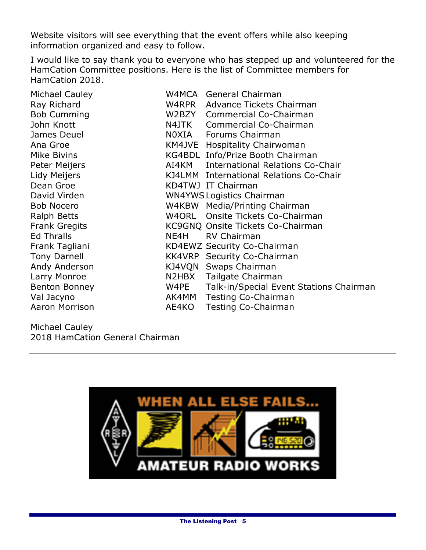Website visitors will see everything that the event offers while also keeping information organized and easy to follow.

I would like to say thank you to everyone who has stepped up and volunteered for the HamCation Committee positions. Here is the list of Committee members for HamCation 2018.

| <b>Michael Cauley</b> |       | W4MCA General Chairman                  |
|-----------------------|-------|-----------------------------------------|
| Ray Richard           |       | W4RPR Advance Tickets Chairman          |
| <b>Bob Cumming</b>    |       | W2BZY Commercial Co-Chairman            |
| John Knott            | N4JTK | Commercial Co-Chairman                  |
| James Deuel           |       | NOXIA Forums Chairman                   |
| Ana Groe              |       | KM4JVE Hospitality Chairwoman           |
| <b>Mike Bivins</b>    |       | KG4BDL Info/Prize Booth Chairman        |
| Peter Meijers         | AI4KM | <b>International Relations Co-Chair</b> |
| Lidy Meijers          |       | KJ4LMM International Relations Co-Chair |
| Dean Groe             |       | KD4TWJ IT Chairman                      |
| David Virden          |       | <b>WN4YWS Logistics Chairman</b>        |
| <b>Bob Nocero</b>     |       | W4KBW Media/Printing Chairman           |
| <b>Ralph Betts</b>    |       | W4ORL Onsite Tickets Co-Chairman        |
| <b>Frank Gregits</b>  |       | KC9GNQ Onsite Tickets Co-Chairman       |
| <b>Ed Thralls</b>     | NE4H  | <b>RV Chairman</b>                      |
| Frank Tagliani        |       | KD4EWZ Security Co-Chairman             |
| <b>Tony Darnell</b>   |       | KK4VRP Security Co-Chairman             |
| Andy Anderson         |       | KJ4VQN Swaps Chairman                   |
| Larry Monroe          | N2HBX | Tailgate Chairman                       |
| <b>Benton Bonney</b>  | W4PE  | Talk-in/Special Event Stations Chairman |
| Val Jacyno            | AK4MM | Testing Co-Chairman                     |
| Aaron Morrison        | AE4KO | <b>Testing Co-Chairman</b>              |
|                       |       |                                         |

Michael Cauley 2018 HamCation General Chairman

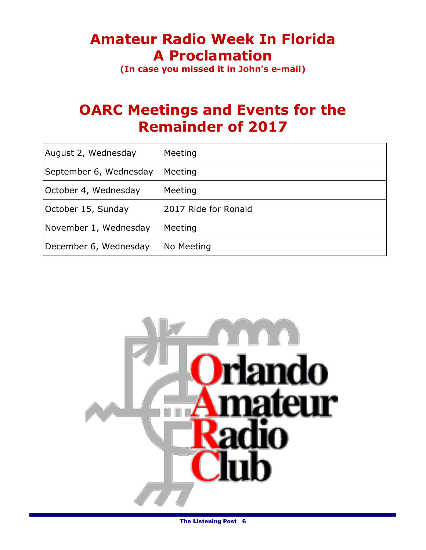# **Amateur Radio Week In Florida A Proclamation**

**(In case you missed it in John's e-mail)**

### **OARC Meetings and Events for the Remainder of 2017**

| August 2, Wednesday    | Meeting              |
|------------------------|----------------------|
| September 6, Wednesday | Meeting              |
| October 4, Wednesday   | Meeting              |
| October 15, Sunday     | 2017 Ride for Ronald |
| November 1, Wednesday  | Meeting              |
| December 6, Wednesday  | No Meeting           |